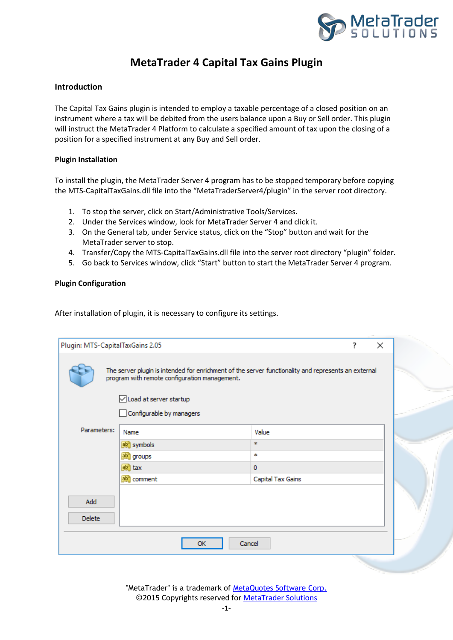

## **MetaTrader 4 Capital Tax Gains Plugin**

## **Introduction**

The Capital Tax Gains plugin is intended to employ a taxable percentage of a closed position on an instrument where a tax will be debited from the users balance upon a Buy or Sell order. This plugin will instruct the MetaTrader 4 Platform to calculate a specified amount of tax upon the closing of a position for a specified instrument at any Buy and Sell order.

## **Plugin Installation**

To install the plugin, the MetaTrader Server 4 program has to be stopped temporary before copying the MTS-CapitalTaxGains.dll file into the "MetaTraderServer4/plugin" in the server root directory.

- 1. To stop the server, click on Start/Administrative Tools/Services.
- 2. Under the Services window, look for MetaTrader Server 4 and click it.
- 3. On the General tab, under Service status, click on the "Stop" button and wait for the MetaTrader server to stop.
- 4. Transfer/Copy the MTS-CapitalTaxGains.dll file into the server root directory "plugin" folder.
- 5. Go back to Services window, click "Start" button to start the MetaTrader Server 4 program.

## **Plugin Configuration**

After installation of plugin, it is necessary to configure its settings.

| Plugin: MTS-CapitalTaxGains 2.05<br>? |                                                                                                                                                      |                   | × |  |
|---------------------------------------|------------------------------------------------------------------------------------------------------------------------------------------------------|-------------------|---|--|
|                                       | The server plugin is intended for enrichment of the server functionality and represents an external<br>program with remote configuration management. |                   |   |  |
|                                       | ○ Load at server startup                                                                                                                             |                   |   |  |
|                                       | Configurable by managers                                                                                                                             |                   |   |  |
| Parameters:                           | Name                                                                                                                                                 | Value             |   |  |
|                                       | ab symbols                                                                                                                                           | ÷.                |   |  |
|                                       | gb <sub>a</sub> groups                                                                                                                               | *                 |   |  |
|                                       | $\boxed{ab}$ tax                                                                                                                                     | $\mathbf 0$       |   |  |
|                                       | ab comment                                                                                                                                           | Capital Tax Gains |   |  |
| Add                                   |                                                                                                                                                      |                   |   |  |
| <b>Delete</b>                         |                                                                                                                                                      |                   |   |  |
|                                       |                                                                                                                                                      |                   |   |  |
|                                       | Cancel<br><b>OK</b>                                                                                                                                  |                   |   |  |
|                                       |                                                                                                                                                      |                   |   |  |

"MetaTrader" is a trademark of [MetaQuotes Software Corp.](http://www.metaquotes.net/) ©2015 Copyrights reserved fo[r MetaTrader Solutions](http://www.metatradersolutions.com/)